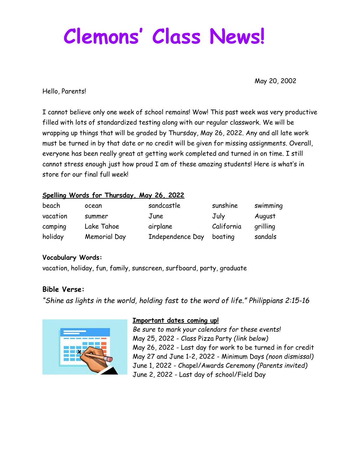# **Clemons ' Class News!**

May 20, 2002

Hello, Parents!

I cannot believe only one week of school remains! Wow! This past week was very productive filled with lots of standardized testing along with our regular classwork. We will be wrapping up things that will be graded by Thursday, May 26, 2022. Any and all late work must be turned in by that date or no credit will be given for missing assignments. Overall, everyone has been really great at getting work completed and turned in on time. I still cannot stress enough just how proud I am of these amazing students! Here is what's in store for our final full week!

#### **Spelling Words for Thursday, May 26, 2022**

| beach    | ocean        | sandcastle       | sunshine   | swimming |
|----------|--------------|------------------|------------|----------|
| vacation | summer       | June             | July       | August   |
| camping  | Lake Tahoe   | airplane         | California | grilling |
| holiday  | Memorial Day | Independence Day | boating    | sandals  |

#### **Vocabulary Words:**

vacation, holiday, fun, family, sunscreen, surfboard, party, graduate

## **Bible Verse:**

*"Shine as lights in the world, holding fast to the word of life." Philippians 2:15-16*



#### **Important dates coming up!**

*Be sure to mark your calendars for these events!* May 25, 2022 - Class Pizza Party *(link below)* May 26, 2022 - Last day for work to be turned in for credit May 27 and June 1-2, 2022 - Minimum Days *(noon dismissal)* June 1, 2022 - Chapel/Awards Ceremony *(Parents invited)* June 2, 2022 - Last day of school/Field Day